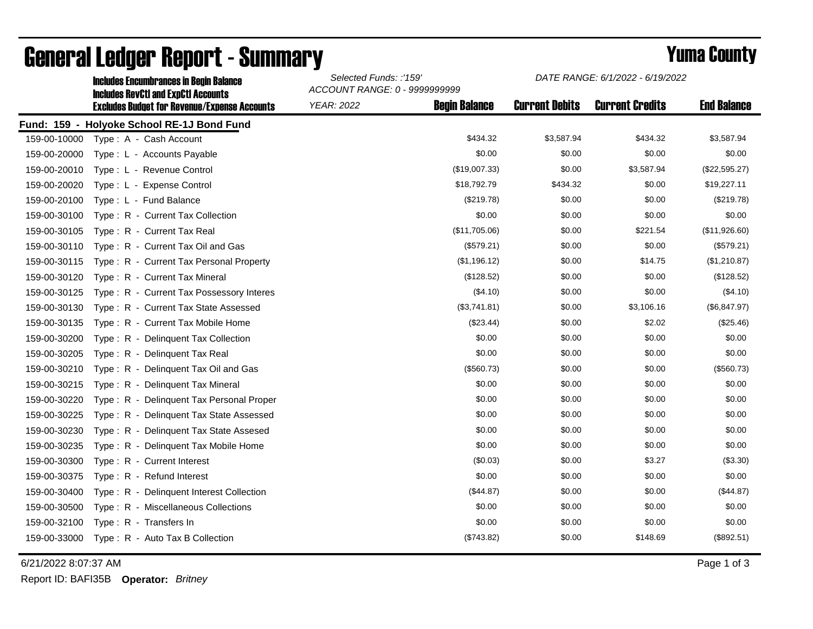|              | <b>Includes Encumbrances in Begin Balance</b>                                                     | Selected Funds: :'159'<br>ACCOUNT RANGE: 0 - 9999999999 |                      | DATE RANGE: 6/1/2022 - 6/19/2022 |                        |                    |
|--------------|---------------------------------------------------------------------------------------------------|---------------------------------------------------------|----------------------|----------------------------------|------------------------|--------------------|
|              | <b>Includes RevCtI and ExpCtI Accounts</b><br><b>Excludes Budget for Revenue/Expense Accounts</b> | <b>YEAR: 2022</b>                                       | <b>Begin Balance</b> | <b>Current Debits</b>            | <b>Current Credits</b> | <b>End Balance</b> |
|              | Fund: 159 - Holyoke School RE-1J Bond Fund                                                        |                                                         |                      |                                  |                        |                    |
| 159-00-10000 | Type: A - Cash Account                                                                            |                                                         | \$434.32             | \$3,587.94                       | \$434.32               | \$3,587.94         |
| 159-00-20000 | Type: L - Accounts Payable                                                                        |                                                         | \$0.00               | \$0.00                           | \$0.00                 | \$0.00             |
| 159-00-20010 | Type: L - Revenue Control                                                                         |                                                         | (\$19,007.33)        | \$0.00                           | \$3,587.94             | (\$22,595.27)      |
| 159-00-20020 | Type: L - Expense Control                                                                         |                                                         | \$18,792.79          | \$434.32                         | \$0.00                 | \$19,227.11        |
| 159-00-20100 | Type: L - Fund Balance                                                                            |                                                         | (\$219.78)           | \$0.00                           | \$0.00                 | (\$219.78)         |
| 159-00-30100 | Type: R - Current Tax Collection                                                                  |                                                         | \$0.00               | \$0.00                           | \$0.00                 | \$0.00             |
| 159-00-30105 | Type: R - Current Tax Real                                                                        |                                                         | (\$11,705.06)        | \$0.00                           | \$221.54               | (\$11,926.60)      |
| 159-00-30110 | Type: R - Current Tax Oil and Gas                                                                 |                                                         | (\$579.21)           | \$0.00                           | \$0.00                 | (\$579.21)         |
| 159-00-30115 | Type: R - Current Tax Personal Property                                                           |                                                         | (\$1,196.12)         | \$0.00                           | \$14.75                | (\$1,210.87)       |
| 159-00-30120 | Type: R - Current Tax Mineral                                                                     |                                                         | (\$128.52)           | \$0.00                           | \$0.00                 | (\$128.52)         |
| 159-00-30125 | Type: R - Current Tax Possessory Interes                                                          |                                                         | (\$4.10)             | \$0.00                           | \$0.00                 | (\$4.10)           |
| 159-00-30130 | Type: R - Current Tax State Assessed                                                              |                                                         | (\$3,741.81)         | \$0.00                           | \$3,106.16             | (\$6,847.97)       |
| 159-00-30135 | Type: R - Current Tax Mobile Home                                                                 |                                                         | $(\$23.44)$          | \$0.00                           | \$2.02                 | (\$25.46)          |
| 159-00-30200 | Type: R - Delinquent Tax Collection                                                               |                                                         | \$0.00               | \$0.00                           | \$0.00                 | \$0.00             |
| 159-00-30205 | Type: R - Delinquent Tax Real                                                                     |                                                         | \$0.00               | \$0.00                           | \$0.00                 | \$0.00             |
| 159-00-30210 | Type: R - Delinquent Tax Oil and Gas                                                              |                                                         | (\$560.73)           | \$0.00                           | \$0.00                 | (\$560.73)         |
| 159-00-30215 | Type: R - Delinquent Tax Mineral                                                                  |                                                         | \$0.00               | \$0.00                           | \$0.00                 | \$0.00             |
| 159-00-30220 | Type: R - Delinquent Tax Personal Proper                                                          |                                                         | \$0.00               | \$0.00                           | \$0.00                 | \$0.00             |
| 159-00-30225 | Type: R - Delinquent Tax State Assessed                                                           |                                                         | \$0.00               | \$0.00                           | \$0.00                 | \$0.00             |
| 159-00-30230 | Type: R - Delinquent Tax State Assesed                                                            |                                                         | \$0.00               | \$0.00                           | \$0.00                 | \$0.00             |
| 159-00-30235 | Type: R - Delinguent Tax Mobile Home                                                              |                                                         | \$0.00               | \$0.00                           | \$0.00                 | \$0.00             |
| 159-00-30300 | Type: R - Current Interest                                                                        |                                                         | (\$0.03)             | \$0.00                           | \$3.27                 | (\$3.30)           |
| 159-00-30375 | Type: R - Refund Interest                                                                         |                                                         | \$0.00               | \$0.00                           | \$0.00                 | \$0.00             |
| 159-00-30400 | Type: R - Delinquent Interest Collection                                                          |                                                         | (\$44.87)            | \$0.00                           | \$0.00                 | (\$44.87)          |
| 159-00-30500 | Type: R - Miscellaneous Collections                                                               |                                                         | \$0.00               | \$0.00                           | \$0.00                 | \$0.00             |
| 159-00-32100 | Type: R - Transfers In                                                                            |                                                         | \$0.00               | \$0.00                           | \$0.00                 | \$0.00             |
| 159-00-33000 | Type: R - Auto Tax B Collection                                                                   |                                                         | (\$743.82)           | \$0.00                           | \$148.69               | (\$892.51)         |

## General Ledger Report - Summary **Second Europe County** Yuma County

6/21/2022 8:07:37 AM Page 1 of 3

Report ID: BAFI35B **Operator:** *Britney*

*DATE RANGE: 6/1/2022 - 6/19/2022*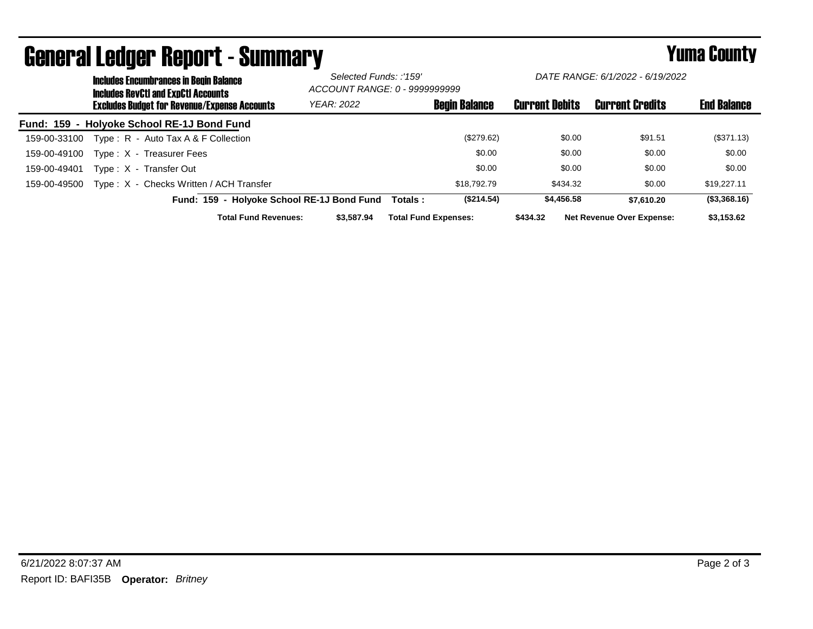|              | <b>Includes Encumbrances in Begin Balance</b><br><b>Includes RevCtI and ExpCtI Accounts</b><br><b>Excludes Budget for Revenue/Expense Accounts</b> |                                            |                                            | Selected Funds: :'159'<br>ACCOUNT RANGE: 0 - 9999999999 |                             | DATE RANGE: 6/1/2022 - 6/19/2022 |                       |        |                                  |                    |
|--------------|----------------------------------------------------------------------------------------------------------------------------------------------------|--------------------------------------------|--------------------------------------------|---------------------------------------------------------|-----------------------------|----------------------------------|-----------------------|--------|----------------------------------|--------------------|
|              |                                                                                                                                                    |                                            |                                            | <b>YEAR: 2022</b>                                       |                             | <b>Begin Balance</b>             | <b>Current Debits</b> |        | <b>Current Credits</b>           | <b>End Balance</b> |
|              |                                                                                                                                                    | Fund: 159 - Holyoke School RE-1J Bond Fund |                                            |                                                         |                             |                                  |                       |        |                                  |                    |
| 159-00-33100 |                                                                                                                                                    | Type: R - Auto Tax A & F Collection        |                                            |                                                         |                             | (\$279.62)                       |                       | \$0.00 | \$91.51                          | (\$371.13)         |
| 159-00-49100 |                                                                                                                                                    | Type: X - Treasurer Fees                   |                                            |                                                         |                             | \$0.00                           |                       | \$0.00 | \$0.00                           | \$0.00             |
| 159-00-49401 |                                                                                                                                                    | Type: X - Transfer Out                     |                                            |                                                         |                             | \$0.00                           |                       | \$0.00 | \$0.00                           | \$0.00             |
| 159-00-49500 |                                                                                                                                                    | Type: X - Checks Written / ACH Transfer    |                                            |                                                         |                             | \$18,792,79                      | \$434.32              |        | \$0.00                           | \$19,227.11        |
|              |                                                                                                                                                    |                                            | Fund: 159 - Holyoke School RE-1J Bond Fund |                                                         | Totals :                    | (\$214.54)                       | \$4,456,58            |        | \$7.610.20                       | (\$3,368.16)       |
|              |                                                                                                                                                    |                                            | <b>Total Fund Revenues:</b>                | \$3,587.94                                              | <b>Total Fund Expenses:</b> |                                  | \$434.32              |        | <b>Net Revenue Over Expense:</b> | \$3,153.62         |

## General Ledger Report - Summary **Example 2018** Yuma County